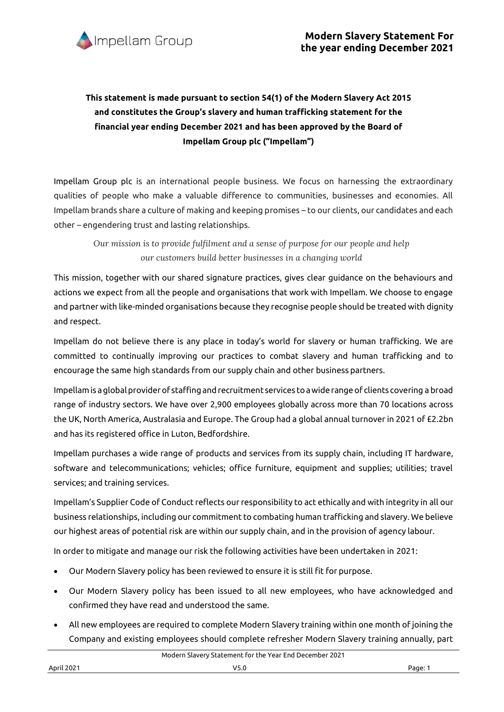

## **This statement is made pursuant to section 54(1) of the Modern Slavery Act 2015 and constitutes the Group's slavery and human trafficking statement for the financial year ending December 2021 and has been approved by the Board of Impellam Group plc ("Impellam")**

Impellam Group plc is an international people business. We focus on harnessing the extraordinary qualities of people who make a valuable difference to communities, businesses and economies. All Impellam brands share a culture of making and keeping promises – to our clients, our candidates and each other – engendering trust and lasting relationships.

*Our mission is to provide fulfilment and a sense of purpose for our people and help our customers build better businesses in a changing world*

This mission, together with our shared signature practices, gives clear guidance on the behaviours and actions we expect from all the people and organisations that work with Impellam. We choose to engage and partner with like-minded organisations because they recognise people should be treated with dignity and respect.

Impellam do not believe there is any place in today's world for slavery or human trafficking. We are committed to continually improving our practices to combat slavery and human trafficking and to encourage the same high standards from our supply chain and other business partners.

Impellamis aglobalproviderof staffing andrecruitment services toawiderangeof clients covering a broad range of industry sectors. We have over 2,900 employees globally across more than 70 locations across the UK, North America, Australasia and Europe. The Group had a global annual turnover in 2021 of £2.2bn and has its registered office in Luton, Bedfordshire.

Impellam purchases a wide range of products and services from its supply chain, including IT hardware, software and telecommunications; vehicles; office furniture, equipment and supplies; utilities; travel services; and training services.

Impellam's Supplier Code of Conduct reflects our responsibility to act ethically and with integrity in all our business relationships, including our commitment to combating human trafficking and slavery. We believe our highest areas of potential risk are within our supply chain, and in the provision of agency labour.

In order to mitigate and manage our risk the following activities have been undertaken in 2021:

- Our Modern Slavery policy has been reviewed to ensure it is still fit for purpose.
- Our Modern Slavery policy has been issued to all new employees, who have acknowledged and confirmed they have read and understood the same.
- All new employees are required to complete Modern Slavery training within one month of joining the Company and existing employees should complete refresher Modern Slavery training annually, part

Modern Slavery Statement for the Year End December 2021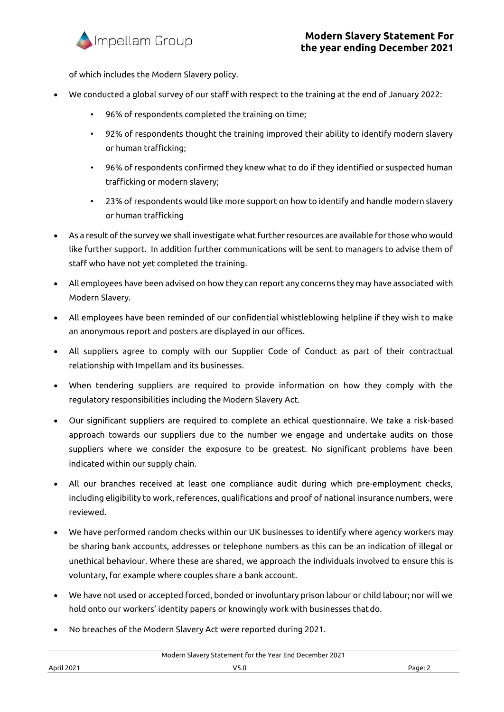

of which includes the Modern Slavery policy.

- We conducted a global survey of our staff with respect to the training at the end of January 2022:
	- 96% of respondents completed the training on time;
	- 92% of respondents thought the training improved their ability to identify modern slavery or human trafficking;
	- 96% of respondents confirmed they knew what to do if they identified or suspected human trafficking or modern slavery;
	- 23% of respondents would like more support on how to identify and handle modern slavery or human trafficking
- As a result of the survey we shall investigate what further resources are available for those who would like further support. In addition further communications will be sent to managers to advise them of staff who have not yet completed the training.
- All employees have been advised on how they can report any concerns they may have associated with Modern Slavery.
- All employees have been reminded of our confidential whistleblowing helpline if they wish to make an anonymous report and posters are displayed in our offices.
- All suppliers agree to comply with our Supplier Code of Conduct as part of their contractual relationship with Impellam and its businesses.
- When tendering suppliers are required to provide information on how they comply with the regulatory responsibilities including the Modern Slavery Act.
- Our significant suppliers are required to complete an ethical questionnaire. We take a risk-based approach towards our suppliers due to the number we engage and undertake audits on those suppliers where we consider the exposure to be greatest. No significant problems have been indicated within our supply chain.
- All our branches received at least one compliance audit during which pre-employment checks, including eligibility to work, references, qualifications and proof of national insurance numbers, were reviewed.
- We have performed random checks within our UK businesses to identify where agency workers may be sharing bank accounts, addresses or telephone numbers as this can be an indication of illegal or unethical behaviour. Where these are shared, we approach the individuals involved to ensure this is voluntary, for example where couples share a bank account.
- We have not used or accepted forced, bonded or involuntary prison labour or child labour; nor will we hold onto our workers' identity papers or knowingly work with businesses thatdo.
- No breaches of the Modern Slavery Act were reported during 2021.